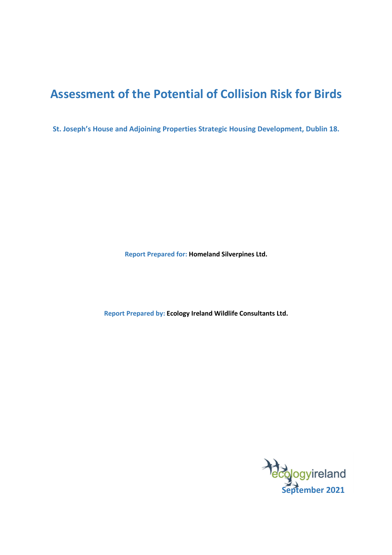# **Assessment of the Potential of Collision Risk for Birds**

**St. Joseph's House and Adjoining Properties Strategic Housing Development, Dublin 18.** 

**Report Prepared for: Homeland Silverpines Ltd.**

**Report Prepared by: Ecology Ireland Wildlife Consultants Ltd.**

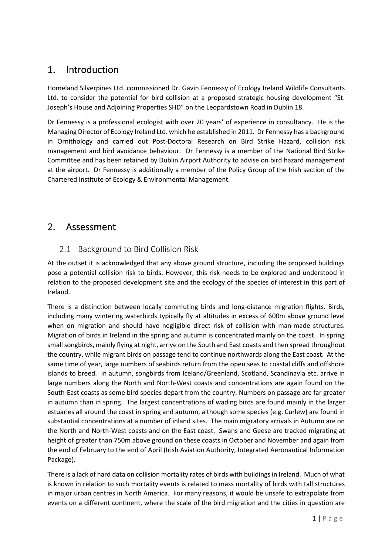## 1. Introduction

Homeland Silverpines Ltd. commissioned Dr. Gavin Fennessy of Ecology Ireland Wildlife Consultants Ltd. to consider the potential for bird collision at a proposed strategic housing development "St. Joseph's House and Adjoining Properties SHD" on the Leopardstown Road in Dublin 18.

Dr Fennessy is a professional ecologist with over 20 years' of experience in consultancy. He is the Managing Director of Ecology Ireland Ltd. which he established in 2011. Dr Fennessy has a background in Ornithology and carried out Post-Doctoral Research on Bird Strike Hazard, collision risk management and bird avoidance behaviour. Dr Fennessy is a member of the National Bird Strike Committee and has been retained by Dublin Airport Authority to advise on bird hazard management at the airport. Dr Fennessy is additionally a member of the Policy Group of the Irish section of the Chartered Institute of Ecology & Environmental Management.

## 2. Assessment

### 2.1 Background to Bird Collision Risk

At the outset it is acknowledged that any above ground structure, including the proposed buildings pose a potential collision risk to birds. However, this risk needs to be explored and understood in relation to the proposed development site and the ecology of the species of interest in this part of Ireland.

There is a distinction between locally commuting birds and long-distance migration flights. Birds, including many wintering waterbirds typically fly at altitudes in excess of 600m above ground level when on migration and should have negligible direct risk of collision with man-made structures. Migration of birds in Ireland in the spring and autumn is concentrated mainly on the coast. In spring small songbirds, mainly flying at night, arrive on the South and East coasts and then spread throughout the country, while migrant birds on passage tend to continue northwards along the East coast. At the same time of year, large numbers of seabirds return from the open seas to coastal cliffs and offshore islands to breed. In autumn, songbirds from Iceland/Greenland, Scotland, Scandinavia etc. arrive in large numbers along the North and North-West coasts and concentrations are again found on the South-East coasts as some bird species depart from the country. Numbers on passage are far greater in autumn than in spring. The largest concentrations of wading birds are found mainly in the larger estuaries all around the coast in spring and autumn, although some species (e.g. Curlew) are found in substantial concentrations at a number of inland sites. The main migratory arrivals in Autumn are on the North and North-West coasts and on the East coast. Swans and Geese are tracked migrating at height of greater than 750m above ground on these coasts in October and November and again from the end of February to the end of April (Irish Aviation Authority, Integrated Aeronautical Information Package).

There is a lack of hard data on collision mortality rates of birds with buildings in Ireland. Much of what is known in relation to such mortality events is related to mass mortality of birds with tall structures in major urban centres in North America. For many reasons, it would be unsafe to extrapolate from events on a different continent, where the scale of the bird migration and the cities in question are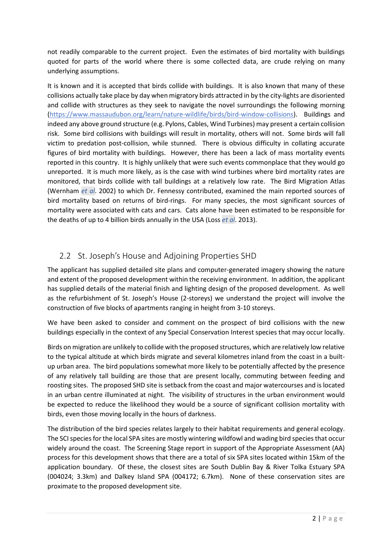not readily comparable to the current project. Even the estimates of bird mortality with buildings quoted for parts of the world where there is some collected data, are crude relying on many underlying assumptions.

It is known and it is accepted that birds collide with buildings. It is also known that many of these collisions actually take place by day when migratory birds attracted in by the city-lights are disoriented and collide with structures as they seek to navigate the novel surroundings the following morning (https://www.massaudubon.org/learn/nature-wildlife/birds/bird-window-collisions). Buildings and indeed any above ground structure (e.g. Pylons, Cables, Wind Turbines) may present a certain collision risk. Some bird collisions with buildings will result in mortality, others will not. Some birds will fall victim to predation post-collision, while stunned. There is obvious difficulty in collating accurate figures of bird mortality with buildings. However, there has been a lack of mass mortality events reported in this country. It is highly unlikely that were such events commonplace that they would go unreported. It is much more likely, as is the case with wind turbines where bird mortality rates are monitored, that birds collide with tall buildings at a relatively low rate. The Bird Migration Atlas (Wernham *et al*. 2002) to which Dr. Fennessy contributed, examined the main reported sources of bird mortality based on returns of bird-rings. For many species, the most significant sources of mortality were associated with cats and cars. Cats alone have been estimated to be responsible for the deaths of up to 4 billion birds annually in the USA (Loss *et al*. 2013).

### 2.2 St. Joseph's House and Adjoining Properties SHD

The applicant has supplied detailed site plans and computer-generated imagery showing the nature and extent of the proposed development within the receiving environment. In addition, the applicant has supplied details of the material finish and lighting design of the proposed development. As well as the refurbishment of St. Joseph's House (2-storeys) we understand the project will involve the construction of five blocks of apartments ranging in height from 3-10 storeys.

We have been asked to consider and comment on the prospect of bird collisions with the new buildings especially in the context of any Special Conservation Interest species that may occur locally.

Birds on migration are unlikely to collide with the proposed structures, which are relatively low relative to the typical altitude at which birds migrate and several kilometres inland from the coast in a builtup urban area. The bird populations somewhat more likely to be potentially affected by the presence of any relatively tall building are those that are present locally, commuting between feeding and roosting sites. The proposed SHD site is setback from the coast and major watercourses and is located in an urban centre illuminated at night. The visibility of structures in the urban environment would be expected to reduce the likelihood they would be a source of significant collision mortality with birds, even those moving locally in the hours of darkness.

The distribution of the bird species relates largely to their habitat requirements and general ecology. The SCI species for the local SPA sites are mostly wintering wildfowl and wading bird species that occur widely around the coast. The Screening Stage report in support of the Appropriate Assessment (AA) process for this development shows that there are a total of six SPA sites located within 15km of the application boundary. Of these, the closest sites are South Dublin Bay & River Tolka Estuary SPA (004024; 3.3km) and Dalkey Island SPA (004172; 6.7km). None of these conservation sites are proximate to the proposed development site.